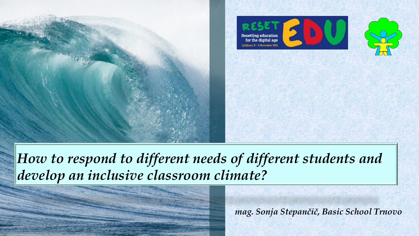

*How to respond to different needs of different students and develop an inclusive classroom climate?*

*mag. Sonja Stepančič, Basic School Trnovo*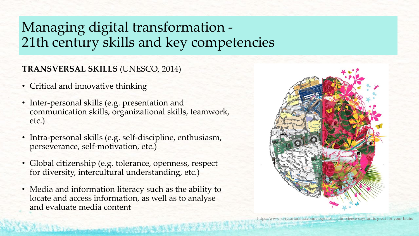## Managing digital transformation - 21th century skills and key competencies

#### **TRANSVERSAL SKILLS** (UNESCO, 2014)

- Critical and innovative thinking
- Inter-personal skills (e.g. presentation and communication skills, organizational skills, teamwork, etc.)
- Intra-personal skills (e.g. self-discipline, enthusiasm, perseverance, self-motivation, etc.)
- Global citizenship (e.g. tolerance, openness, respect for diversity, intercultural understanding, etc.)
- Media and information literacy such as the ability to locate and access information, as well as to analyse and evaluate media content



https://www.jerrysartarama.com/blog/once-again-science-says-art-is-great-for-your-brain/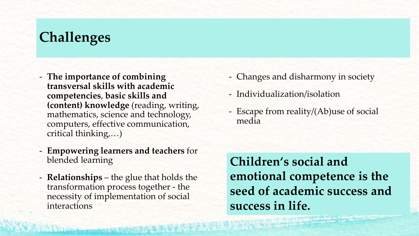# **Challenges**

- **The importance of combining transversal skills with academic competencies**, **basic skills and (content) knowledge** (reading, writing, mathematics, science and technology, computers, effective communication, critical thinking,…)
- **Empowering learners and teachers** for blended learning
- **Relationships** the glue that holds the transformation process together - the necessity of implementation of social interactions

**STATISTICS** IN THE BUILDING OF

**Children's social and emotional competence is the seed of academic success and success in life.**

- Changes and disharmony in society
- Individualization/isolation
- Escape from reality/(Ab)use of social media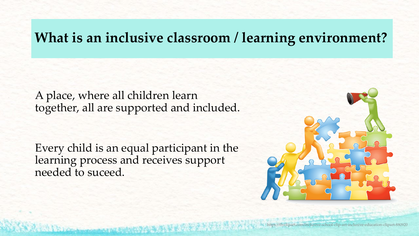## **What is an inclusive classroom / learning environment?**

A place, where all children learn together, all are supported and included.

Every child is an equal participant in the learning process and receives support needed to suceed.



https://flyclipart.com/inclusive-school-clip-art-inclusive-education-clipart-880920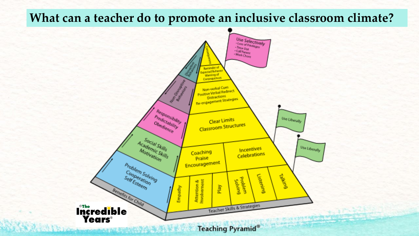### **What can a teacher do to promote an inclusive classroom climate?**

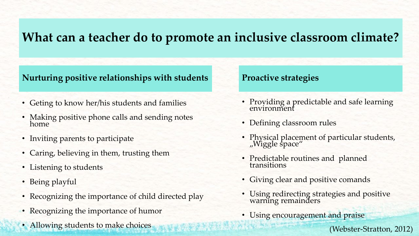### **What can a teacher do to promote an inclusive classroom climate?**

#### **Nurturing positive relationships with students**

- Geting to know her/his students and families
- Making positive phone calls and sending notes home
- Inviting parents to participate
- Caring, believing in them, trusting them
- Listening to students
- Being playful
- Recognizing the importance of child directed play
- Recognizing the importance of humor
- Allowing students to make choices

#### **Proactive strategies**

- Providing a predictable and safe learning environment
- Defining classroom rules
- Physical placement of particular students, "Wiggle space"
- Predictable routines and planned transitions
- Giving clear and positive comands
- Using redirecting strategies and positive warning remainders
- Using encouragement and praise

(Webster-Stratton, 2012)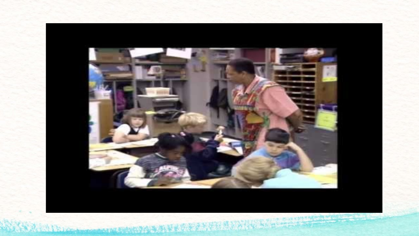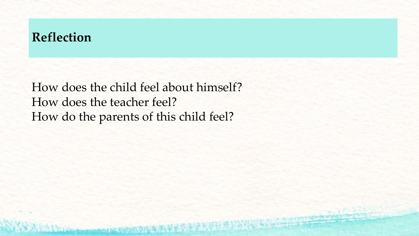### **Reflection**

How does the child feel about himself? How does the teacher feel? How do the parents of this child feel?

Charles and the state of the state of the state of the state of the state of the state of the state of the state of the state of the state of the state of the state of the state of the state of the state of the state of th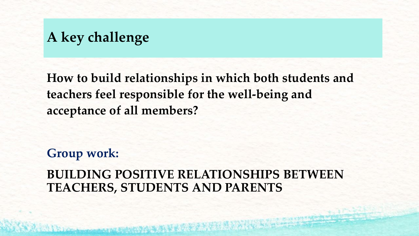## **A key challenge**

**How to build relationships in which both students and teachers feel responsible for the well-being and acceptance of all members?** 

### **Group work:**

**BUILDING POSITIVE RELATIONSHIPS BETWEEN TEACHERS, STUDENTS AND PARENTS**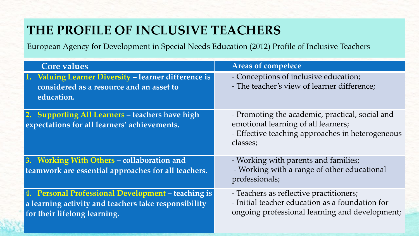### **THE PROFILE OF INCLUSIVE TEACHERS**

European Agency for Development in Special Needs Education (2012) Profile of Inclusive Teachers

| <b>Core values</b>                                                                                                                         | <b>Areas of competece</b>                                                                                                                              |
|--------------------------------------------------------------------------------------------------------------------------------------------|--------------------------------------------------------------------------------------------------------------------------------------------------------|
| Valuing Learner Diversity - learner difference is<br><b>Ily</b><br>considered as a resource and an asset to<br>education.                  | - Conceptions of inclusive education;<br>- The teacher's view of learner difference;                                                                   |
| 2. Supporting All Learners – teachers have high<br>expectations for all learners' achievements.                                            | - Promoting the academic, practical, social and<br>emotional learning of all learners;<br>- Effective teaching approaches in heterogeneous<br>classes; |
| 3. Working With Others - collaboration and<br>teamwork are essential approaches for all teachers.                                          | - Working with parents and families;<br>- Working with a range of other educational<br>professionals;                                                  |
| 4. Personal Professional Development - teaching is<br>a learning activity and teachers take responsibility<br>for their lifelong learning. | - Teachers as reflective practitioners;<br>- Initial teacher education as a foundation for<br>ongoing professional learning and development;           |